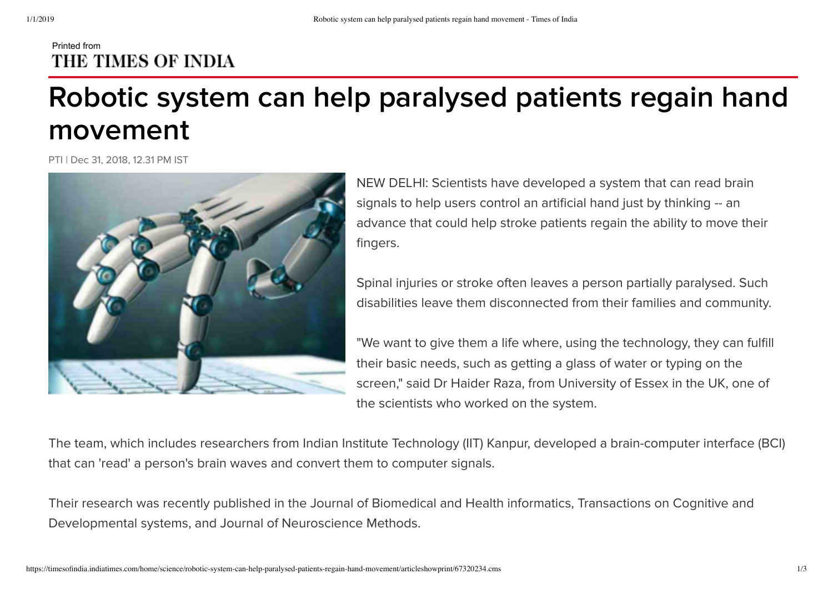## Printed from THE TIMES OF INDIA

## **Robotic system can help paralysed patients regain hand movement**

PTI | Dec 31, 2018, 12.31 PM IST



NEW DELHI: Scientists have developed a system that can read brain signals to help users control an artificial hand just by thinking -- an advance that could help stroke patients regain the ability to move their fingers.

Spinal injuries or stroke often leaves a person partially paralysed. Such disabilities leave them disconnected from their families and community.

"We want to give them a life where, using the technology, they can fulfill their basic needs, such as getting a glass of water or typing on the screen," said Dr Haider Raza, from University of Essex in the UK, one of the scientists who worked on the system.

The team, which includes researchers from Indian Institute Technology (IIT) Kanpur, developed a brain-computer interface (BCI) that can 'read' a person's brain waves and convert them to computer signals.

Their research was recently published in the Journal of Biomedical and Health informatics, Transactions on Cognitive and Developmental systems, and Journal of Neuroscience Methods.